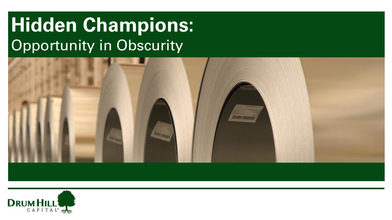# **Hidden Champions:** Opportunity in Obscurity



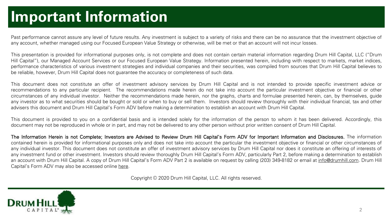### **Important Information**

Past performance cannot assure any level of future results. Any investment is subject to a variety of risks and there can be no assurance that the investment objective of any account, whether managed using our Focused European Value Strategy or otherwise, will be met or that an account will not incur losses.

This presentation is provided for informational purposes only, is not complete and does not contain certain material information regarding Drum Hill Capital, LLC ("Drum Hill Capital"), our Managed Account Services or our Focused European Value Strategy. Information presented herein, including with respect to markets, market indices, performance characteristics of various investment strategies and individual companies and their securities, was compiled from sources that Drum Hill Capital believes to be reliable, however, Drum Hill Capital does not guarantee the accuracy or completeness of such data.

This document does not constitute an offer of investment advisory services by Drum Hill Capital and is not intended to provide specific investment advice or recommendations to any particular recipient. The recommendations made herein do not take into account the particular investment objective or financial or other circumstances of any individual investor. Neither the recommendations made herein, nor the graphs, charts and formulae presented herein, can, by themselves, guide any investor as to what securities should be bought or sold or when to buy or sell them. Investors should review thoroughly with their individual financial, tax and other advisers this document and Drum Hill Capital's Form ADV before making a determination to establish an account with Drum Hill Capital.

This document is provided to you on a confidential basis and is intended solely for the information of the person to whom it has been delivered. Accordingly, this document may not be reproduced in whole or in part, and may not be delivered to any other person without prior written consent of Drum Hill Capital.

The Information Herein is not Complete; Investors are Advised to Review Drum Hill Capital's Form ADV for Important Information and Disclosures. The information contained herein is provided for informational purposes only and does not take into account the particular the investment objective or financial or other circumstances of any individual investor. This document does not constitute an offer of investment advisory services by Drum Hill Capital nor does it constitute an offering of interests of any investment fund or other investment. Investors should review thoroughly Drum Hill Capital's Form ADV, particularly Part 2, before making a determination to establish an account with Drum Hill Capital. A copy of Drum Hill Capital's Form ADV Part 2 is available on request by calling (203) 349-8182 or email at [info@drumhill.com](mailto:info@drumhill.com). Drum Hill Capital's Form ADV may also be accessed online [here](https://adviserinfo.sec.gov/firm/brochure/123359).

Copyright © 2020 Drum Hill Capital, LLC. All rights reserved.

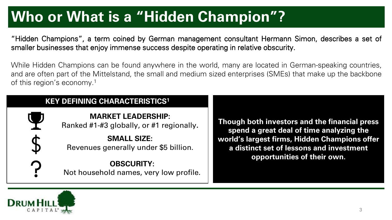# **Who or What is a "Hidden Champion"?**

"Hidden Champions", a term coined by German management consultant Hermann Simon, describes a set of smaller businesses that enjoy immense success despite operating in relative obscurity.

While Hidden Champions can be found anywhere in the world, many are located in German-speaking countries, and are often part of the Mittelstand, the small and medium sized enterprises (SMEs) that make up the backbone of this region's economy. 1

| <b>KEY DEFINING CHARACTERISTICS1</b> |
|--------------------------------------|
|                                      |

**MARKET LEADERSHIP:** Ranked #1-#3 globally, or #1 regionally**.**

**SMALL SIZE:**  Revenues generally under \$5 billion**.**

**OBSCURITY:**  Not household names, very low profile.

**Though both investors and the financial press spend a great deal of time analyzing the world's largest firms, Hidden Champions offer a distinct set of lessons and investment opportunities of their own.**

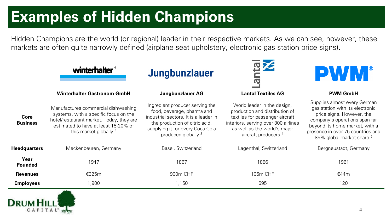# **Examples of Hidden Champions**

Hidden Champions are the world (or regional) leader in their respective markets. As we can see, however, these markets are often quite narrowly defined (airplane seat upholstery, electronic gas station price signs).

|                         | winterhalter                                                                                                                                                                                           | Jungbunzlauer                                                                                                                                                                                                   | $\overline{\mathbf{C}}$                                                                                                                                                                                      | <b>PWM</b>                                                                                                                                                                                                                                    |
|-------------------------|--------------------------------------------------------------------------------------------------------------------------------------------------------------------------------------------------------|-----------------------------------------------------------------------------------------------------------------------------------------------------------------------------------------------------------------|--------------------------------------------------------------------------------------------------------------------------------------------------------------------------------------------------------------|-----------------------------------------------------------------------------------------------------------------------------------------------------------------------------------------------------------------------------------------------|
|                         | <b>Winterhalter Gastronom GmbH</b>                                                                                                                                                                     | <b>Jungbunzlauer AG</b>                                                                                                                                                                                         | <b>Lantal Textiles AG</b>                                                                                                                                                                                    | <b>PWM GmbH</b>                                                                                                                                                                                                                               |
| Core<br><b>Business</b> | Manufactures commercial dishwashing<br>systems, with a specific focus on the<br>hotel/restaurant market. Today, they are<br>estimated to have at least 15-20% of<br>this market globally. <sup>2</sup> | Ingredient producer serving the<br>food, beverage, pharma and<br>industrial sectors. It is a leader in<br>the production of citric acid,<br>supplying it for every Coca-Cola<br>produced globally. <sup>3</sup> | World leader in the design,<br>production and distribution of<br>textiles for passenger aircraft<br>interiors, serving over 300 airlines<br>as well as the world's major<br>aircraft producers. <sup>4</sup> | Supplies almost every German<br>gas station with its electronic<br>price signs. However, the<br>company's operations span far<br>beyond its home market, with a<br>presence in over 75 countries and<br>85% global market share. <sup>5</sup> |
| <b>Headquarters</b>     | Meckenbeuren, Germany                                                                                                                                                                                  | Basel, Switzerland                                                                                                                                                                                              | Lagenthal, Switzerland                                                                                                                                                                                       | Bergneustadt, Germany                                                                                                                                                                                                                         |
| Year<br><b>Founded</b>  | 1947                                                                                                                                                                                                   | 1867                                                                                                                                                                                                            | 1886                                                                                                                                                                                                         | 1961                                                                                                                                                                                                                                          |
| <b>Revenues</b>         | €325m                                                                                                                                                                                                  | 900m CHF                                                                                                                                                                                                        | 105m CHF                                                                                                                                                                                                     | €44m                                                                                                                                                                                                                                          |
| <b>Employees</b>        | ,900                                                                                                                                                                                                   | 1,150                                                                                                                                                                                                           | 695                                                                                                                                                                                                          | 120                                                                                                                                                                                                                                           |

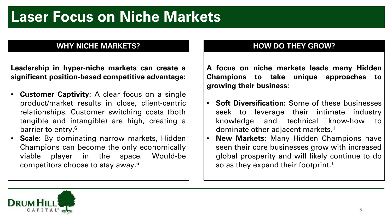### **Laser Focus on Niche Markets**

#### **WHY NICHE MARKETS?**

**Leadership in hyper-niche markets can create a significant position-based competitive advantage:**

- **Customer Captivity:** A clear focus on a single product/market results in close, client-centric relationships. Customer switching costs (both tangible and intangible) are high, creating a barrier to entry. 6
- **Scale:** By dominating narrow markets, Hidden Champions can become the only economically viable player in the space. Would-be competitors choose to stay away. 6

### **HOW DO THEY GROW?**

**A focus on niche markets leads many Hidden Champions to take unique approaches to growing their business:**

- **Soft Diversification:** Some of these businesses seek to leverage their intimate industry knowledge and technical know-how to dominate other adjacent markets. 1
- **New Markets:** Many Hidden Champions have seen their core businesses grow with increased global prosperity and will likely continue to do so as they expand their footprint.<sup>1</sup>

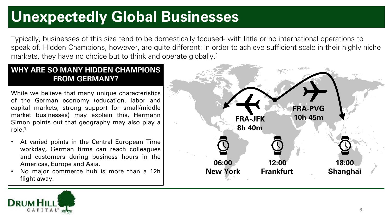### **Unexpectedly Global Businesses**

Typically, businesses of this size tend to be domestically focused- with little or no international operations to speak of. Hidden Champions, however, are quite different: in order to achieve sufficient scale in their highly niche markets, they have no choice but to think and operate globally.<sup>1</sup>

#### **WHY ARE SO MANY HIDDEN CHAMPIONS FROM GERMANY?**

While we believe that many unique characteristics of the German economy (education, labor and capital markets, strong support for small/middle market businesses) may explain this, Hermann Simon points out that geography may also play a role. 1

- At varied points in the Central European Time workday, German firms can reach colleagues and customers during business hours in the Americas, Europe and Asia.
- No major commerce hub is more than a 12h flight away.



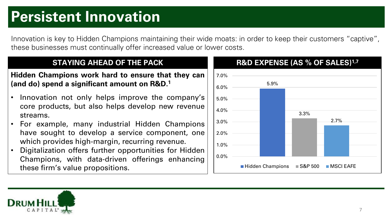### **Persistent Innovation**

Innovation is key to Hidden Champions maintaining their wide moats: in order to keep their customers "captive", these businesses must continually offer increased value or lower costs.

### **STAYING AHEAD OF THE PACK**

**Hidden Champions work hard to ensure that they can (and do) spend a significant amount on R&D. 1**

- Innovation not only helps improve the company's core products, but also helps develop new revenue streams.
- For example, many industrial Hidden Champions have sought to develop a service component, one which provides high-margin, recurring revenue.
- Digitalization offers further opportunities for Hidden Champions, with data-driven offerings enhancing these firm's value propositions.



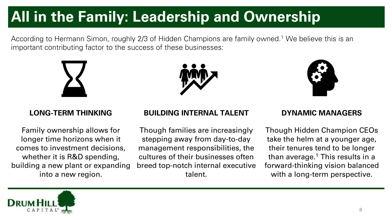# **All in the Family: Leadership and Ownership**

According to Hermann Simon, roughly 2/3 of Hidden Champions are family owned.<sup>1</sup> We believe this is an important contributing factor to the success of these businesses:







Family ownership allows for longer time horizons when it comes to investment decisions, whether it is R&D spending, building a new plant or expanding into a new region.

#### **LONG-TERM THINKING BUILDING INTERNAL TALENT DYNAMIC MANAGERS**

Though families are increasingly stepping away from day-to-day management responsibilities, the cultures of their businesses often breed top-notch internal executive talent.

Though Hidden Champion CEOs take the helm at a younger age, their tenures tend to be longer than average.<sup>1</sup> This results in a forward-thinking vision balanced with a long-term perspective.

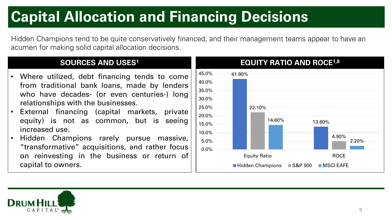# **Capital Allocation and Financing Decisions**

Hidden Champions tend to be quite conservatively financed, and their management teams appear to have an acumen for making solid capital allocation decisions.

### **SOURCES AND USES<sup>1</sup>**

- Where utilized, debt financing tends to come from traditional bank loans, made by lenders who have decades- (or even centuries-) long relationships with the businesses.
- External financing (capital markets, private equity) is not as common, but is seeing increased use.
- Hidden Champions rarely pursue massive, "transformative" acquisitions, and rather focus on reinvesting in the business or return of capital to owners.



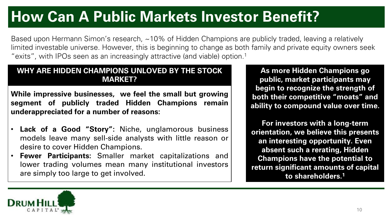# **How Can A Public Markets Investor Benefit?**

Based upon Hermann Simon's research, ~10% of Hidden Champions are publicly traded, leaving a relatively limited investable universe. However, this is beginning to change as both family and private equity owners seek "exits", with IPOs seen as an increasingly attractive (and viable) option.<sup>1</sup>

#### **WHY ARE HIDDEN CHAMPIONS UNLOVED BY THE STOCK MARKET?**

**While impressive businesses, we feel the small but growing segment of publicly traded Hidden Champions remain underappreciated for a number of reasons:**

- **Lack of a Good "Story":** Niche, unglamorous business models leave many sell-side analysts with little reason or desire to cover Hidden Champions.
- **Fewer Participants:** Smaller market capitalizations and lower trading volumes mean many institutional investors are simply too large to get involved.

**As more Hidden Champions go public, market participants may begin to recognize the strength of both their competitive "moats" and ability to compound value over time.**

**For investors with a long-term orientation, we believe this presents an interesting opportunity. Even absent such a rerating, Hidden Champions have the potential to return significant amounts of capital to shareholders.1** 

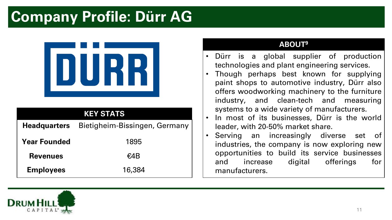### **Company Profile: Dürr AG**



### **Headquarters** Bietigheim-Bissingen, Germany **KEY STATS**

| <b>Year Founded</b> | 1895   |  |
|---------------------|--------|--|
| <b>Revenues</b>     | €4B    |  |
| <b>Employees</b>    | 16,384 |  |

#### **ABOUT9**

- Dürr is a global supplier of production technologies and plant engineering services.
- Though perhaps best known for supplying paint shops to automotive industry, Dürr also offers woodworking machinery to the furniture industry, and clean-tech and measuring systems to a wide variety of manufacturers.
- In most of its businesses, Dürr is the world leader, with 20-50% market share.
- Serving an increasingly diverse set of industries, the company is now exploring new opportunities to build its service businesses and increase digital offerings for manufacturers.

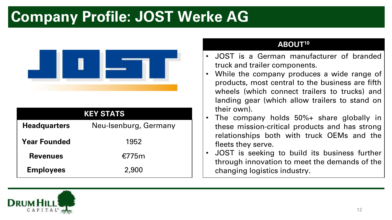### **Company Profile: JOST Werke AG**



| <b>KEY STATS</b>    |                       |  |  |  |
|---------------------|-----------------------|--|--|--|
| <b>Headquarters</b> | Neu-Isenburg, Germany |  |  |  |
| <b>Year Founded</b> | 1952                  |  |  |  |
| <b>Revenues</b>     | €775m                 |  |  |  |
| <b>Employees</b>    | 2,900                 |  |  |  |

#### **ABOUT<sup>10</sup>**

- JOST is a German manufacturer of branded truck and trailer components.
- While the company produces a wide range of products, most central to the business are fifth wheels (which connect trailers to trucks) and landing gear (which allow trailers to stand on their own).
- The company holds 50%+ share globally in these mission-critical products and has strong relationships both with truck OEMs and the fleets they serve.
- JOST is seeking to build its business further through innovation to meet the demands of the changing logistics industry.

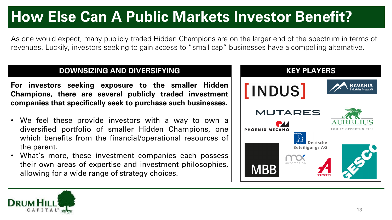# **How Else Can A Public Markets Investor Benefit?**

As one would expect, many publicly traded Hidden Champions are on the larger end of the spectrum in terms of revenues. Luckily, investors seeking to gain access to "small cap" businesses have a compelling alternative.

#### **DOWNSIZING AND DIVERSIFYING**  THE REVIOUS MONOGRAPH **KEY PLAYERS**

**For investors seeking exposure to the smaller Hidden Champions, there are several publicly traded investment companies that specifically seek to purchase such businesses.**

- We feel these provide investors with a way to own a diversified portfolio of smaller Hidden Champions, one which benefits from the financial/operational resources of the parent.
- What's more, these investment companies each possess their own areas of expertise and investment philosophies, allowing for a wide range of strategy choices.



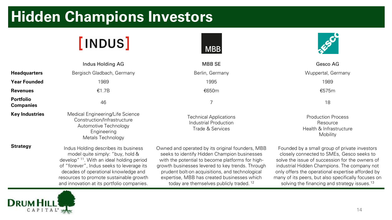### **Hidden Champions Investors**

# **[INDUS]**

Metals Technology



|                                      | Indus Holding AG                                                                                        | <b>MBB SE</b>                                                              | Gesco AG                                                                                                                                                                                 |
|--------------------------------------|---------------------------------------------------------------------------------------------------------|----------------------------------------------------------------------------|------------------------------------------------------------------------------------------------------------------------------------------------------------------------------------------|
| <b>Headquarters</b>                  | Bergisch Gladbach, Germany                                                                              | Berlin, Germany                                                            | Wuppertal, Germany                                                                                                                                                                       |
| <b>Year Founded</b>                  | 1989                                                                                                    | 1995                                                                       | 1989                                                                                                                                                                                     |
| <b>Revenues</b>                      | €1.7B                                                                                                   | €650m                                                                      | €575m                                                                                                                                                                                    |
| <b>Portfolio</b><br><b>Companies</b> | 46                                                                                                      |                                                                            | 18                                                                                                                                                                                       |
| <b>Key Industries</b>                | Medical Engineering/Life Science<br>Construction/Infrastructure<br>Automotive Technology<br>Engineering | <b>Technical Applications</b><br>Industrial Production<br>Trade & Services | <b>Production Process</b><br>Resource<br>Health & Infrastructure<br>$\mathbf{A}$ $\mathbf{A}$ $\mathbf{A}$ $\mathbf{A}$ $\mathbf{A}$ $\mathbf{A}$ $\mathbf{A}$ $\mathbf{A}$ $\mathbf{A}$ |

**Strategy** Indus Holding describes its business model quite simply: "buy, hold & develop" <sup>11</sup>. With an ideal holding period of "forever", Indus seeks to leverage its decades of operational knowledge and resources to promote sustainable growth and innovation at its portfolio companies.

Owned and operated by its original founders, MBB seeks to identify Hidden Champion businesses with the potential to become platforms for highgrowth businesses levered to key trends. Through prudent bolt-on acquisitions, and technological expertise, MBB has created businesses which today are themselves publicly traded. <sup>12</sup>

Mobility

Founded by a small group of private investors closely connected to SMEs, Gesco seeks to solve the issue of succession for the owners of industrial Hidden Champions. The company not only offers the operational expertise afforded by many of its peers, but also specifically focuses on solving the financing and strategy issues.<sup>13</sup>

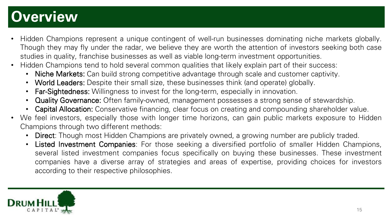### **Overview**

- Hidden Champions represent a unique contingent of well-run businesses dominating niche markets globally. Though they may fly under the radar, we believe they are worth the attention of investors seeking both case studies in quality, franchise businesses as well as viable long-term investment opportunities.
- Hidden Champions tend to hold several common qualities that likely explain part of their success:
	- Niche Markets: Can build strong competitive advantage through scale and customer captivity.
	- World Leaders: Despite their small size, these businesses think (and operate) globally.
	- Far-Sightedness: Willingness to invest for the long-term, especially in innovation.
	- Quality Governance: Often family-owned, management possesses a strong sense of stewardship.
	- Capital Allocation: Conservative financing, clear focus on creating and compounding shareholder value.
- We feel investors, especially those with longer time horizons, can gain public markets exposure to Hidden Champions through two different methods:
	- Direct: Though most Hidden Champions are privately owned, a growing number are publicly traded.
	- Listed Investment Companies: For those seeking a diversified portfolio of smaller Hidden Champions, several listed investment companies focus specifically on buying these businesses. These investment companies have a diverse array of strategies and areas of expertise, providing choices for investors according to their respective philosophies.

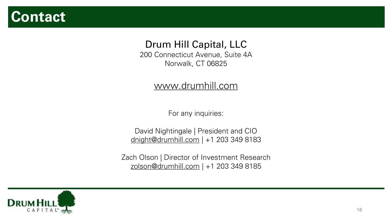### **Contact**

### Drum Hill Capital, LLC

200 Connecticut Avenue, Suite 4A Norwalk, CT 06825

### [www.drumhill.com](http://www.drumhill.com/)

For any inquiries:

David Nightingale | President and CIO [dnight@drumhill.com](mailto:dnight@drumhill.com) | +1 203 349 8183

Zach Olson | Director of Investment Research [zolson@drumhill.com](mailto:zolson@drumhill.com) | +1 203 349 8185